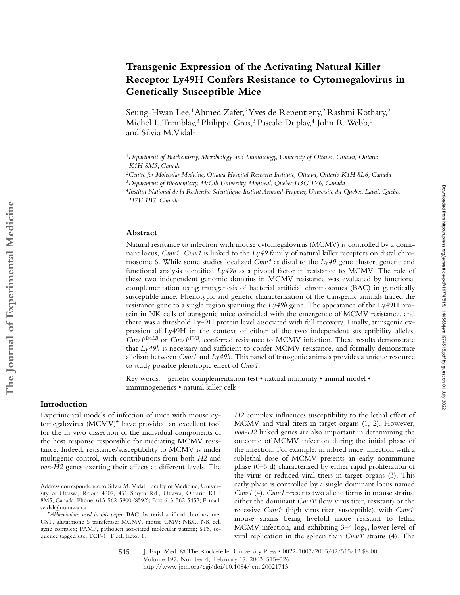# **Transgenic Expression of the Activating Natural Killer Receptor Ly49H Confers Resistance to Cytomegalovirus in Genetically Susceptible Mice**

Seung-Hwan Lee,<sup>1</sup> Ahmed Zafer,<sup>2</sup> Yves de Repentigny,<sup>2</sup> Rashmi Kothary,<sup>2</sup> Michel L. Tremblay,<sup>3</sup> Philippe Gros,<sup>3</sup> Pascale Duplay,<sup>4</sup> John R. Webb,<sup>1</sup> and Silvia M. Vidal<sup>1</sup>

#### **Abstract**

Natural resistance to infection with mouse cytomegalovirus (MCMV) is controlled by a dominant locus, *Cmv1*. *Cmv1* is linked to the *Ly49* family of natural killer receptors on distal chromosome 6. While some studies localized  $Cmv1$  as distal to the  $Ly49$  gene cluster, genetic and functional analysis identified *Ly49h* as a pivotal factor in resistance to MCMV. The role of these two independent genomic domains in MCMV resistance was evaluated by functional complementation using transgenesis of bacterial artificial chromosomes (BAC) in genetically susceptible mice. Phenotypic and genetic characterization of the transgenic animals traced the resistance gene to a single region spanning the *Ly49h* gene. The appearance of the Ly49H protein in NK cells of transgenic mice coincided with the emergence of MCMV resistance, and there was a threshold Ly49H protein level associated with full recovery. Finally, transgenic expression of Ly49H in the context of either of the two independent susceptibility alleles, *Cmv1sBALB* or *Cmv1sFVB*, conferred resistance to MCMV infection. These results demonstrate that *Ly49h* is necessary and sufficient to confer MCMV resistance, and formally demonstrate allelism between *Cmv1* and *Ly49h*. This panel of transgenic animals provides a unique resource to study possible pleiotropic effect of *Cmv1*.

Key words: genetic complementation test • natural immunity • animal model • immunogenetics • natural killer cells

### **Introduction**

Experimental models of infection of mice with mouse cytomegalovirus (MCMV)\* have provided an excellent tool for the in vivo dissection of the individual components of the host response responsible for mediating MCMV resistance. Indeed, resistance/susceptibility to MCMV is under multigenic control, with contributions from both *H2* and *non-H2* genes exerting their effects at different levels. The

*H2* complex influences susceptibility to the lethal effect of MCMV and viral titers in target organs (1, 2). However, *non-H2* linked genes are also important in determining the outcome of MCMV infection during the initial phase of the infection. For example, in inbred mice, infection with a sublethal dose of MCMV presents an early nonimmune phase (0–6 d) characterized by either rapid proliferation of the virus or reduced viral titers in target organs (3). This early phase is controlled by a single dominant locus named *Cmv1* (4). *Cmv1* presents two allelic forms in mouse strains, either the dominant *Cmv1r* (low virus titer, resistant) or the recessive *Cmv1s* (high virus titer, susceptible), with *Cmv1r* mouse strains being fivefold more resistant to lethal MCMV infection, and exhibiting  $3-4 \log_{10}$  lower level of viral replication in the spleen than *Cmv1<sup>s</sup>* strains (4). The

<sup>1</sup>*Department of Biochemistry, Microbiology and Immunology, University of Ottawa, Ottawa, Ontario K1H 8M5, Canada*

<sup>2</sup>*Centre for Molecular Medicine, Ottawa Hospital Research Institute, Ottawa, Ontario K1H 8L6, Canada* <sup>3</sup>*Department of Biochemistry, McGill University, Montreal, Quebec H3G 1Y6, Canada*

<sup>4</sup>*Institut National de la Recherche Scientifique-Institut Armand-Frappier, Universite du Quebec, Laval, Quebec H7V 1B7, Canada*

Address correspondence to Silvia M. Vidal, Faculty of Medicine, University of Ottawa, Room 4207, 451 Smyth Rd., Ottawa, Ontario K1H 8M5, Canada. Phone: 613-562-5800 (8592); Fax: 613-562-5452; E-mail: svidal@uottawa.ca

<sup>\*</sup>*Abbreviations used in this paper:* BAC, bacterial artificial chromosome; GST, glutathione S transferase; MCMV, mouse CMV; NKC, NK cell gene complex; PAMP, pathogen associated molecular pattern; STS, sequence tagged site; TCF-1, T cell factor 1.

J. Exp. Med. © The Rockefeller University Press • 0022-1007/2003/02/515/12 \$8.00 Volume 197, Number 4, February 17, 2003 515–526 http://www.jem.org/cgi/doi/10.1084/jem.20021713 515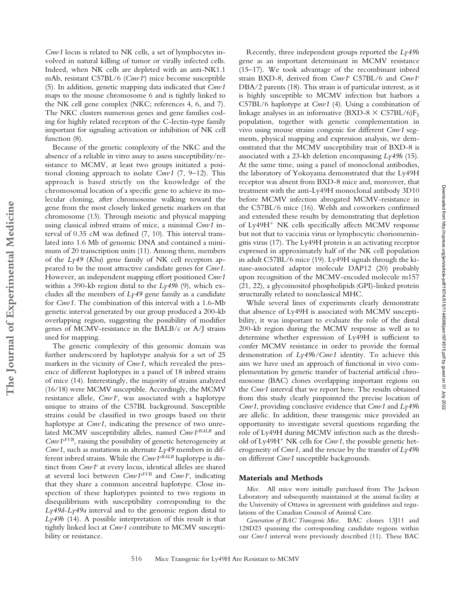*Cmv1* locus is related to NK cells, a set of lymphocytes involved in natural killing of tumor or virally infected cells. Indeed, when NK cells are depleted with an anti-NK1.1 mAb, resistant C57BL/6 (*Cmv1r* ) mice become susceptible (5). In addition, genetic mapping data indicated that *Cmv1* maps to the mouse chromosome 6 and is tightly linked to the NK cell gene complex (NKC; references 4, 6, and 7). The NKC clusters numerous genes and gene families coding for highly related receptors of the C-lectin-type family important for signaling activation or inhibition of NK cell function  $(8)$ .

Because of the genetic complexity of the NKC and the absence of a reliable in vitro assay to assess susceptibility/resistance to MCMV, at least two groups initiated a positional cloning approach to isolate *Cmv1* (7, 9–12). This approach is based strictly on the knowledge of the chromosomal location of a specific gene to achieve its molecular cloning, after chromosome walking toward the gene from the most closely linked genetic markers on that chromosome (13). Through meiotic and physical mapping using classical inbred strains of mice, a minimal *Cmv1* interval of 0.35 cM was defined (7, 10). This interval translated into 1.6 Mb of genomic DNA and contained a minimum of 20 transcription units (11). Among them, members of the *Ly49* (*Klra*) gene family of NK cell receptors appeared to be the most attractive candidate genes for *Cmv1*. However, an independent mapping effort positioned *Cmv1* within a 390-kb region distal to the *Ly49b* (9), which excludes all the members of *Ly49* gene family as a candidate for *Cmv1*. The combination of this interval with a 1.6-Mb genetic interval generated by our group produced a 200-kb overlapping region, suggesting the possibility of modifier genes of MCMV-resistance in the BALB/c or A/J strains used for mapping.

**The Journal of Experimental Medicine**

The Journal of Experimental Medicine

The genetic complexity of this genomic domain was further underscored by haplotype analysis for a set of 25 markers in the vicinity of *Cmv1*, which revealed the presence of different haplotypes in a panel of 18 inbred strains of mice (14). Interestingly, the majority of strains analyzed (16/18) were MCMV susceptible. Accordingly, the MCMV resistance allele, *Cmv1r* , was associated with a haplotype unique to strains of the C57BL background. Susceptible strains could be classified in two groups based on their haplotype at *Cmv1*, indicating the presence of two unrelated MCMV susceptibility alleles, named *Cmv1sBALB* and *Cmv1sFVB*, raising the possibility of genetic heterogeneity at *Cmv1*, such as mutations in alternate *Ly49* members in different inbred strains. While the *Cmv1sBALB* haplotype is distinct from *Cmv1r* at every locus, identical alleles are shared at several loci between *Cmv1sFVB* and *Cmv1r* , indicating that they share a common ancestral haplotype. Close inspection of these haplotypes pointed to two regions in disequilibrium with susceptibility corresponding to the *Ly49d*-*Ly49a* interval and to the genomic region distal to *Ly49b* (14). A possible interpretation of this result is that tightly linked loci at *Cmv1* contribute to MCMV susceptibility or resistance.

Recently, three independent groups reported the *Ly49h* gene as an important determinant in MCMV resistance (15–17). We took advantage of the recombinant inbred strain BXD-8, derived from *Cmv1r* C57BL/6 and *Cmv1s* DBA/2 parents (18). This strain is of particular interest, as it is highly susceptible to MCMV infection but harbors a C57BL/6 haplotype at *Cmv1* (4). Using a combination of linkage analyses in an informative (BXD-8  $\times$  C57BL/6)F<sub>2</sub> population, together with genetic complementation in vivo using mouse strains congenic for different *Cmv1* segments, physical mapping and expression analysis, we demonstrated that the MCMV susceptibility trait of BXD-8 is associated with a 23-kb deletion encompassing *Ly49h* (15). At the same time, using a panel of monoclonal antibodies, the laboratory of Yokoyama demonstrated that the Ly49H receptor was absent from BXD-8 mice and, moreover, that treatment with the anti-Ly49H monoclonal antibody 3D10 before MCMV infection abrogated MCMV-resistance in the C57BL/6 mice (16). Welsh and coworkers confirmed and extended these results by demonstrating that depletion of  $Ly49H<sup>+</sup> N K$  cells specifically affects MCMV response but not that to vaccinia virus or lymphocytic choriomeningitis virus (17). The Ly49H protein is an activating receptor expressed in approximately half of the NK cell population in adult C57BL/6 mice (19). Ly49H signals through the kinase-associated adaptor molecule DAP12 (20) probably upon recognition of the MCMV-encoded molecule m157 (21, 22), a glycoinositol phospholipids (GPI)-linked protein structurally related to nonclassical MHC.

While several lines of experiments clearly demonstrate that absence of Ly49H is associated with MCMV susceptibility, it was important to evaluate the role of the distal 200-kb region during the MCMV response as well as to determine whether expression of Ly49H is sufficient to confer MCMV resistance in order to provide the formal demonstration of *Ly49h/Cmv1* identity. To achieve this aim we have used an approach of functional in vivo complementation by genetic transfer of bacterial artificial chromosome (BAC) clones overlapping important regions on the *Cmv1* interval that we report here. The results obtained from this study clearly pinpointed the precise location of *Cmv1*, providing conclusive evidence that *Cmv1* and *Ly49h* are allelic. In addition, these transgenic mice provided an opportunity to investigate several questions regarding the role of Ly49H during MCMV infection such as the threshold of Ly49H<sup>+</sup> NK cells for  $Cmv1$ , the possible genetic heterogeneity of *Cmv1*, and the rescue by the transfer of *Ly49h* on different *Cmv1* susceptible backgrounds.

#### **Materials and Methods**

*Mice.* All mice were initially purchased from The Jackson Laboratory and subsequently maintained at the animal facility at the University of Ottawa in agreement with guidelines and regulations of the Canadian Council of Animal Care.

*Generation of BAC Transgenic Mice.* BAC clones 13J11 and 128D23 spanning the corresponding candidate regions within our *Cmv1* interval were previously described (11). These BAC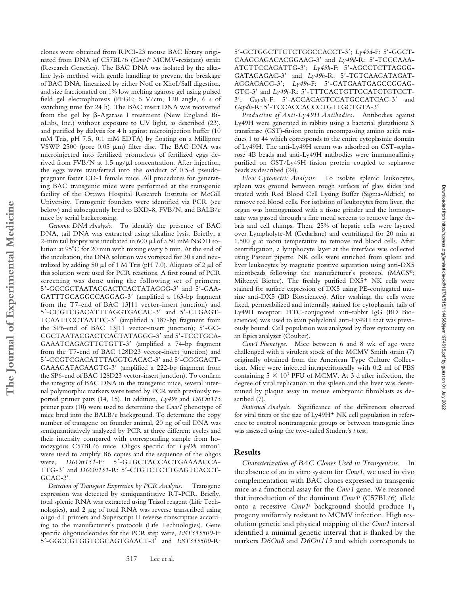clones were obtained from RPCI-23 mouse BAC library originated from DNA of C57BL/6 (*Cmv1r* MCMV-resistant) strain (Research Genetics). The BAC DNA was isolated by the alkaline lysis method with gentle handling to prevent the breakage of BAC DNA, linearized by either NotI or XhoI/SalI digestion, and size fractionated on 1% low melting agarose gel using pulsed field gel electrophoresis (PFGE; 6 V/cm, 120 angle, 6 s of switching time for 24 h). The BAC insert DNA was recovered from the gel by  $\beta$ -Agarase I treatment (New England BioLabs, Inc.) without exposure to UV light, as described (23), and purified by dialysis for 4 h against microinjection buffer (10 mM Tris, pH 7.5, 0.1 mM EDTA) by floating on a Millipore VSWP 2500 (pore  $0.05 \mu m$ ) filter disc. The BAC DNA was microinjected into fertilized pronucleus of fertilized eggs derived from FVB/N at 1.5 ng/ $\mu$ l concentration. After injection, the eggs were transferred into the oviduct of 0.5-d pseudopregnant foster CD-1 female mice. All procedures for generating BAC transgenic mice were performed at the transgenic facility of the Ottawa Hospital Research Institute or McGill University. Transgenic founders were identified via PCR (see below) and subsequently bred to BXD-8, FVB/N, and BALB/c mice by serial backcrossing.

*Genomic DNA Analysis.* To identify the presence of BAC DNA, tail DNA was extracted using alkaline lysis. Briefly, a 2-mm tail biopsy was incubated in  $600 \mu l$  of a 50 mM NaOH solution at 95°C for 20 min with mixing every 5 min. At the end of the incubation, the DNA solution was vortexed for 30 s and neutralized by adding 50  $\mu$ l of 1 M Tris (pH 7.0). Aliquots of 2  $\mu$ l of this solution were used for PCR reactions. A first round of PCR screening was done using the following set of primers: 5'-GCCGCTAATACGACTCACTATAGGG-3' and 5'-GAA-GATTTGCAGGCCAGGAG-3' (amplified a 163-bp fragment from the T7-end of BAC 13J11 vector-insert junction) and 5'-CCGTCGACATTTAGGTGACAC-3' and 5'-CTGAGT-TCAATTCCTAATTC-3' (amplified a 187-bp fragment from the SP6-end of BAC 13J11 vector-insert junction); 5'-GC-CGCTAATACGACTCACTATAGGG-3' and 5'-TCCTGCA-GAAATCAGAGTTCTGTT-3 (amplified a 74-bp fragment from the T7-end of BAC 128D23 vector-insert junction) and 5'-CCGTCGACATTTAGGTGACAC-3' and 5'-GGGGACT-GAAAGATAGAAGTG-3' (amplified a 222-bp fragment from the SP6-end of BAC 128D23 vector-insert junction). To confirm the integrity of BAC DNA in the transgenic mice, several internal polymorphic markers were tested by PCR with previously reported primer pairs (14, 15). In addition, *Ly49e* and *D6Ott115* primer pairs (10) were used to determine the *Cmv1* phenotype of mice bred into the BALB/c background. To determine the copy number of transgene on founder animal, 20 ng of tail DNA was semiquantitatively analyzed by PCR at three different cycles and their intensity compared with corresponding sample from homozygous C57BL/6 mice. Oligos specific for *Ly49h* intron1 were used to amplify B6 copies and the sequence of the oligos were,  $D6Ott151-F: 5' - GTGCTACCACTGAAAACCA-$ TTG-3' and *D6Ott151*-R: 5'-CTGTCTCTTGAGTCACCT-GCAC-3'.

*Detection of Transgene Expression by PCR Analysis.* Transgene expression was detected by semiquantitative RT-PCR. Briefly, total splenic RNA was extracted using Trizol reagent (Life Technologies), and  $2 \mu$ g of total RNA was reverse transcribed using oligo-dT primers and Superscript II reverse transcriptase according to the manufacturer's protocols (Life Technologies). Gene specific oligonucleotides for the PCR step were, *EST335500*-F: 5-GGCCGTGGTCGCAGTGAACT-3 and *EST335500*-R:

5-GCTGGCTTCTCTGGCCACCT-3; *Ly49d*-F: 5-GGCT-CAAGGAGACACGGAAG-3' and Ly49d-R: 5'-TCCCAAA-ATCTTCCAGATTG-3; *Ly49h*-F: 5-AGCCTCTTAGGG-GATACAGAC-3' and *Ly49h*-R: 5'-TGTCAAGATAGAT-AGGAGAGG-3; *Ly49i*-F: 5-GATGAATGAGCCGGAG-GTC-3' and *Ly49i-R*: 5'-TTTCACTGTTCCATCTGTCCT-3'; *Gapdh-F:* 5'-ACCACAGTCCATGCCATCAC-3' and Gapdh-R: 5'-TCCACCACCCTGTTGCTGTA-3'.

*Production of Anti-Ly49H Antibodies.* Antibodies against Ly49H were generated in rabbits using a bacterial glutathione S transferase (GST)-fusion protein encompassing amino acids residues 1 to 44 which corresponds to the entire cytoplasmic domain of Ly49H. The anti-Ly49H serum was adsorbed on GST-sepharose 4B beads and anti-Ly49H antibodies were immunoaffinity purified on GST/Ly49H fusion protein coupled to sepharose beads as described (24).

*Flow Cytometric Analysis.* To isolate splenic leukocytes, spleen was ground between rough surfaces of glass slides and treated with Red Blood Cell Lysing Buffer (Sigma-Aldrich) to remove red blood cells. For isolation of leukocytes from liver, the organ was homogenized with a tissue grinder and the homogenate was passed through a fine metal screens to remove large debris and cell clumps. Then, 25% of hepatic cells were layered over Lympholyte-M (Cedarlane) and centrifuged for 20 min at 1,500 *g* at room temperature to remove red blood cells. After centrifugation, a lymphocyte layer at the interface was collected using Pasteur pipette. NK cells were enriched from spleen and liver leukocytes by magnetic positive separation using anti-DX5 microbeads following the manufacturer's protocol (MACS®; Miltenyi Biotec). The freshly purified  $DX5+NK$  cells were stained for surface expression of DX5 using PE-conjugated murine anti-DX5 (BD Biosciences). After washing, the cells were fixed, permeabilized and internally stained for cytoplasmic tails of Ly49H receptor. FITC-conjugated anti–rabbit IgG (BD Biosciences) was used to stain polyclonal anti-Ly49H that was previously bound. Cell population was analyzed by flow cytometry on an Epics analyzer (Coulter).

*Cmv1 Phenotype.* Mice between 6 and 8 wk of age were challenged with a virulent stock of the MCMV Smith strain (7) originally obtained from the American Type Culture Collection. Mice were injected intraperitoneally with 0.2 ml of PBS containing  $5 \times 10^3$  PFU of MCMV. At 3 d after infection, the degree of viral replication in the spleen and the liver was determined by plaque assay in mouse embryonic fibroblasts as described (7).

*Statistical Analysis.* Significance of the differences observed for viral titers or the size of  $Ly49H<sup>+</sup> N K$  cell population in reference to control nontransgenic groups or between transgenic lines was assessed using the two-tailed Student's *t* test.

#### **Results**

*Characterization of BAC Clones Used in Transgenesis.* In the absence of an in vitro system for *Cmv1*, we used in vivo complementation with BAC clones expressed in transgenic mice as a functional assay for the *Cmv1* gene. We reasoned that introduction of the dominant *Cmv1r* (C57BL/6) allele onto a recessive *Cmv1<sup>s</sup>* background should produce F<sub>1</sub> progeny uniformly resistant to MCMV infection. High resolution genetic and physical mapping of the *Cmv1* interval identified a minimal genetic interval that is flanked by the markers *D6Ott8* and *D6Ott115* and which corresponds to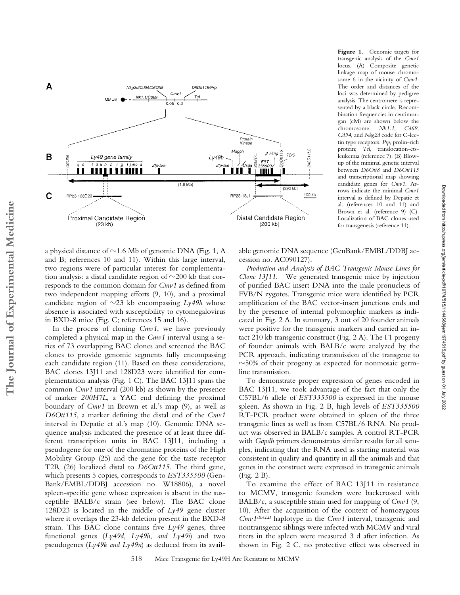

a physical distance of  $\sim$ 1.6 Mb of genomic DNA (Fig. 1, A and B; references 10 and 11). Within this large interval, two regions were of particular interest for complementation analysis: a distal candidate region of  $\sim$ 200 kb that corresponds to the common domain for *Cmv1* as defined from two independent mapping efforts (9, 10), and a proximal candidate region of  $\sim$ 23 kb encompassing  $Ly$ 49h whose absence is associated with susceptibility to cytomegalovirus in BXD-8 mice (Fig. C; references 15 and 16).

In the process of cloning *Cmv1*, we have previously completed a physical map in the *Cmv1* interval using a series of 73 overlapping BAC clones and screened the BAC clones to provide genomic segments fully encompassing each candidate region (11). Based on these considerations, BAC clones 13J11 and 128D23 were identified for complementation analysis (Fig. 1 C). The BAC 13J11 spans the common *Cmv1* interval (200 kb) as shown by the presence of marker *200H7L*, a YAC end defining the proximal boundary of *Cmv1* in Brown et al.'s map (9), as well as *D6Ott115*, a marker defining the distal end of the *Cmv1* interval in Depatie et al.'s map (10). Genomic DNA sequence analysis indicated the presence of at least three different transcription units in BAC 13J11, including a pseudogene for one of the chromatine proteins of the High Mobility Group (25) and the gene for the taste receptor T2R (26) localized distal to *D6Ott115*. The third gene, which presents 5 copies, corresponds to *EST335500* (Gen-Bank/EMBL/DDBJ accession no. W18806), a novel spleen-specific gene whose expression is absent in the susceptible BALB/c strain (see below). The BAC clone 128D23 is located in the middle of *Ly49* gene cluster where it overlaps the 23-kb deletion present in the BXD-8 strain. This BAC clone contains five *Ly49* genes, three functional genes (*Ly49d, Ly49h*, *and Ly49i*) and two pseudogenes (*Ly49k and Ly49n*) as deduced from its availFigure 1. Genomic targets for transgenic analysis of the *Cmv1* locus. (A) Composite genetic linkage map of mouse chromosome 6 in the vicinity of *Cmv1*. The order and distances of the loci was determined by pedigree analysis. The centromere is represented by a black circle. Recombination frequencies in centimorgan (cM) are shown below the chromosome. *Nk1.1*, *Cd69*, *Cd94*, and *Nkg2d* code for C-lectin type receptors. *Prp*, prolin-rich protein; *Tel*, translocation-etsleukemia (reference 7). (B) Blowup of the minimal genetic interval between *D6Ott8* and *D6Ott115* and transcriptional map showing candidate genes for *Cmv1*. Arrows indicate the minimal *Cmv1* interval as defined by Depatie et al. (references 10 and 11) and Brown et al. (reference 9) (C). Localization of BAC clones used for transgenesis (reference 11).

Downloaded from http://rupress.org/jem/article-pdf/197/4/515/1144568/jem1974515.pdf by guest on 01 July 2022

Downloaded from http://rupress.org/jem/article-pdf/197/4/518/1144568/jem1974515.pdf by guest on 01 July 2022

able genomic DNA sequence (GenBank/EMBL/DDBJ accession no. AC090127).

*Production and Analysis of BAC Transgenic Mouse Lines for Clone 13J11.* We generated transgenic mice by injection of purified BAC insert DNA into the male pronucleus of FVB/N zygotes. Transgenic mice were identified by PCR amplification of the BAC vector-insert junctions ends and by the presence of internal polymorphic markers as indicated in Fig. 2 A. In summary, 3 out of 20 founder animals were positive for the transgenic markers and carried an intact 210 kb transgenic construct (Fig. 2 A). The F1 progeny of founder animals with BALB/c were analyzed by the PCR approach, indicating transmission of the transgene to  $\sim$ 50% of their progeny as expected for nonmosaic germline transmission.

To demonstrate proper expression of genes encoded in BAC 13J11, we took advantage of the fact that only the C57BL/6 allele of *EST335500* is expressed in the mouse spleen. As shown in Fig. 2 B, high levels of *EST335500* RT-PCR product were obtained in spleen of the three transgenic lines as well as from C57BL/6 RNA. No product was observed in BALB/c samples. A control RT-PCR with *Gapdh* primers demonstrates similar results for all samples, indicating that the RNA used as starting material was consistent in quality and quantity in all the animals and that genes in the construct were expressed in transgenic animals (Fig. 2 B).

To examine the effect of BAC 13J11 in resistance to MCMV, transgenic founders were backcrossed with BALB/c, a susceptible strain used for mapping of *Cmv1* (9, 10). After the acquisition of the context of homozygous *Cmv1sBALB* haplotype in the *Cmv1* interval, transgenic and nontransgenic siblings were infected with MCMV and viral titers in the spleen were measured 3 d after infection. As shown in Fig. 2 C, no protective effect was observed in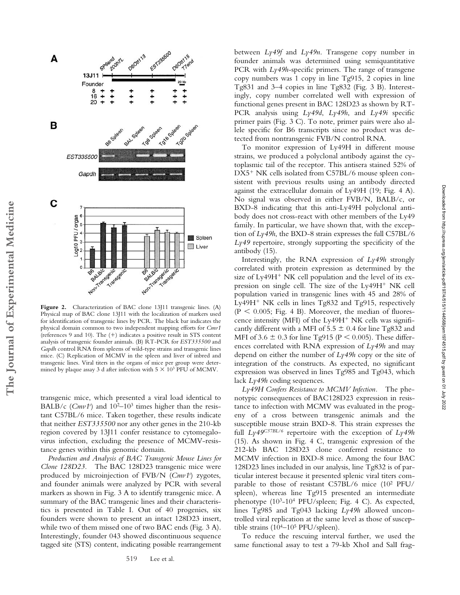

Figure 2. Characterization of BAC clone 13J11 transgenic lines. (A) Physical map of BAC clone 13J11 with the localization of markers used for identification of transgenic lines by PCR. The black bar indicates the physical domain common to two independent mapping efforts for *Cmv1* (references 9 and 10). The  $(+)$  indicates a positive result in STS content analysis of transgenic founder animals. (B) RT-PCR for *EST335500* and *Gapdh* control RNA from spleens of wild-type strains and transgenic lines mice. (C) Replication of MCMV in the spleen and liver of inbred and transgenic lines. Viral titers in the organs of mice per group were determined by plaque assay 3 d after infection with  $5 \times 10^3$  PFU of MCMV.

transgenic mice, which presented a viral load identical to BALB/c (Cmv1<sup>s</sup>) and 10<sup>2</sup>-10<sup>3</sup> times higher than the resistant C57BL/6 mice. Taken together, these results indicate that neither *EST335500* nor any other genes in the 210-kb region covered by 13J11 confer resistance to cytomegalovirus infection, excluding the presence of MCMV-resistance genes within this genomic domain.

*Production and Analysis of BAC Transgenic Mouse Lines for Clone 128D23.* The BAC 128D23 transgenic mice were produced by microinjection of FVB/N (*Cmv1s* ) zygotes, and founder animals were analyzed by PCR with several markers as shown in Fig. 3 A to identify transgenic mice. A summary of the BAC transgenic lines and their characteristics is presented in Table I. Out of 40 progenies, six founders were shown to present an intact 128D23 insert, while two of them missed one of two BAC ends (Fig. 3 A). Interestingly, founder 043 showed discontinuous sequence tagged site (STS) content, indicating possible rearrangement

between *Ly49f* and *Ly49n*. Transgene copy number in founder animals was determined using semiquantitative PCR with *Ly49h*-specific primers. The range of transgene copy numbers was 1 copy in line Tg915, 2 copies in line Tg831 and 3–4 copies in line Tg832 (Fig. 3 B). Interestingly, copy number correlated well with expression of functional genes present in BAC 128D23 as shown by RT-PCR analysis using *Ly49d*, *Ly49h*, and *Ly49i* specific primer pairs (Fig. 3 C). To note, primer pairs were also allele specific for B6 transcripts since no product was detected from nontransgenic FVB/N control RNA.

To monitor expression of Ly49H in different mouse strains, we produced a polyclonal antibody against the cytoplasmic tail of the receptor. This antisera stained 52% of DX5<sup>+</sup> NK cells isolated from C57BL/6 mouse spleen consistent with previous results using an antibody directed against the extracellular domain of Ly49H (19; Fig. 4 A). No signal was observed in either FVB/N, BALB/c, or BXD-8 indicating that this anti-Ly49H polyclonal antibody does not cross-react with other members of the Ly49 family. In particular, we have shown that, with the exception of *Ly49h*, the BXD-8 strain expresses the full C57BL/6 *Ly49* repertoire, strongly supporting the specificity of the antibody (15).

Interestingly, the RNA expression of *Ly49h* strongly correlated with protein expression as determined by the size of  $Ly49H<sup>+</sup> NK$  cell population and the level of its expression on single cell. The size of the Ly49H<sup>+</sup> NK cell population varied in transgenic lines with 45 and 28% of Ly49H<sup>+</sup> NK cells in lines  $Tg832$  and  $Tg915$ , respectively  $(P < 0.005$ ; Fig. 4 B). Moreover, the median of fluorescence intensity (MFI) of the  $Ly49H<sup>+</sup> N K$  cells was significantly different with a MFI of  $5.5 \pm 0.4$  for line Tg832 and MFI of 3.6  $\pm$  0.3 for line Tg915 (P < 0.005). These differences correlated with RNA expression of *Ly49h* and may depend on either the number of *Ly49h* copy or the site of integration of the constructs. As expected, no significant expression was observed in lines Tg985 and Tg043, which lack *Ly49h* coding sequences.

Downloaded from http://rupress.org/jem/article-pdf/197/4/515/1144568/jem1974515.pdf by guest on 01 July 2022

Downloaded from http://rupress.org/jem/article-pdf/197/4/515/1144568/jem1974515.pdf by guest on 01 July 2022

*Ly49H Confers Resistance to MCMV Infection.* The phenotypic consequences of BAC128D23 expression in resistance to infection with MCMV was evaluated in the progeny of a cross between transgenic animals and the susceptible mouse strain BXD-8. This strain expresses the full *Ly49C57BL/6* repertoire with the exception of *Ly49h* (15). As shown in Fig. 4 C, transgenic expression of the 212-kb BAC 128D23 clone conferred resistance to MCMV infection in BXD-8 mice. Among the four BAC 128D23 lines included in our analysis, line Tg832 is of particular interest because it presented splenic viral titers comparable to those of resistant C57BL/6 mice (10<sup>2</sup> PFU/ spleen), whereas line Tg915 presented an intermediate phenotype (103-104 PFU/spleen; Fig. 4 C). As expected, lines Tg985 and Tg043 lacking *Ly49h* allowed uncontrolled viral replication at the same level as those of susceptible strains  $(10^{4}-10^{5} PFU/spleen)$ .

To reduce the rescuing interval further, we used the same functional assay to test a 79-kb XhoI and SalI frag-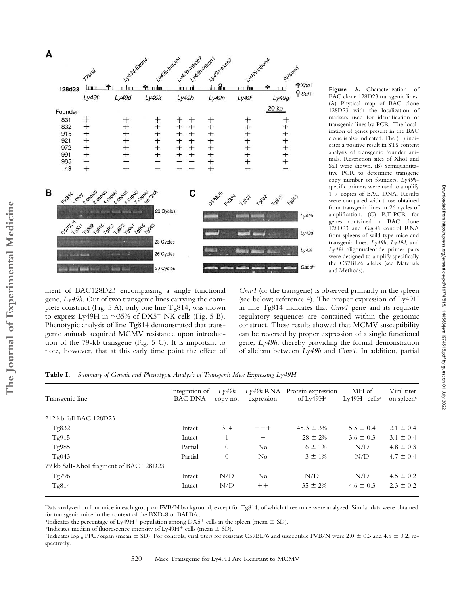

BAC clone 128D23 transgenic lines. (A) Physical map of BAC clone 128D23 with the localization of markers used for identification of transgenic lines by PCR. The localization of genes present in the BAC clone is also indicated. The  $(+)$  indicates a positive result in STS content analysis of transgenic founder animals. Restriction sites of XhoI and SalI were shown. (B) Semiquantitative PCR to determine transgene copy number on founders. *Ly49h*specific primers were used to amplify 1–7 copies of BAC DNA. Results were compared with those obtained from transgenic lines in 26 cycles of amplification. (C) RT-PCR for genes contained in BAC clone 128D23 and *Gapdh* control RNA from spleens of wild-type mice and transgenic lines. *Ly49h*, *Ly49d*, and *Ly49i* oligonucleotide primer pairs were designed to amplify specifically the C57BL/6 alleles (see Materials and Methods).

Downloaded from http://rupress.org/jem/article-pdf/197/4/515/1144568/jem1974515.pdf by guest on 01 July 2022

Downloaded from http://rupress.org/jem/article-pdf/197/4/515/1144568/jem1974515.pdf by guest on 01 July 2022

ment of BAC128D23 encompassing a single functional gene, *Ly49h*. Out of two transgenic lines carrying the complete construct (Fig. 5 A), only one line Tg814, was shown to express Ly49H in  $\sim$ 35% of DX5<sup>+</sup> NK cells (Fig. 5 B). Phenotypic analysis of line Tg814 demonstrated that transgenic animals acquired MCMV resistance upon introduction of the 79-kb transgene (Fig. 5 C). It is important to note, however, that at this early time point the effect of

*Cmv1* (or the transgene) is observed primarily in the spleen (see below; reference 4). The proper expression of Ly49H in line Tg814 indicates that *Cmv1* gene and its requisite regulatory sequences are contained within the genomic construct. These results showed that MCMV susceptibility can be reversed by proper expression of a single functional gene, *Ly49h*, thereby providing the formal demonstration of allelism between *Ly49h* and *Cmv1*. In addition, partial

| Transgenic line                        | Integration of<br><b>BAC DNA</b> | Ly49h<br>copy no. | expression | $Ly_49h$ RNA Protein expression<br>of $Ly$ 49 $H$ <sup>a</sup> | MFI of<br>$Ly49H^+$ cells <sup>b</sup> | Viral titer<br>on spleen <sup>c</sup> |
|----------------------------------------|----------------------------------|-------------------|------------|----------------------------------------------------------------|----------------------------------------|---------------------------------------|
| 212 kb full BAC 128D23                 |                                  |                   |            |                                                                |                                        |                                       |
| Tg832                                  | Intact                           | $3 - 4$           | $+++$      | $45.3 \pm 3\%$                                                 | $5.5 \pm 0.4$                          | $2.1 \pm 0.4$                         |
| Tg915                                  | Intact                           |                   | $^{+}$     | $28 \pm 2\%$                                                   | $3.6 \pm 0.3$                          | $3.1 \pm 0.4$                         |
| Tg985                                  | Partial                          | $\theta$          | No.        | $6 \pm 1\%$                                                    | N/D                                    | $4.8 \pm 0.3$                         |
| Tg043                                  | Partial                          | $\theta$          | No         | $3 \pm 1\%$                                                    | N/D                                    | $4.7 \pm 0.4$                         |
| 79 kb Sall-XhoI fragment of BAC 128D23 |                                  |                   |            |                                                                |                                        |                                       |
| Tg796                                  | Intact                           | N/D               | No.        | N/D                                                            | N/D                                    | $4.5 \pm 0.2$                         |
| Tg814                                  | Intact                           | N/D               | $++$       | $35 \pm 2\%$                                                   | $4.6 \pm 0.3$                          | $2.3 \pm 0.2$                         |

**Table I.** *Summary of Genetic and Phenotypic Analysis of Transgenic Mice Expressing Ly49H*

Data analyzed on four mice in each group on FVB/N background, except for Tg814, of which three mice were analyzed. Similar data were obtained for transgenic mice in the context of the BXD-8 or BALB/c.

<sup>a</sup>Indicates the percentage of Ly49H<sup>+</sup> population among  $\rm{DX5^{+}}$  cells in the spleen (mean  $\pm$  SD).

<sup>b</sup>Indicates median of fluorescence intensity of Ly49H<sup>+</sup> cells (mean  $\pm$  SD).

"Indicates log<sub>10</sub> PFU/organ (mean  $\pm$  SD). For controls, viral titers for resistant C57BL/6 and susceptible FVB/N were 2.0  $\pm$  0.3 and 4.5  $\pm$  0.2, respectively.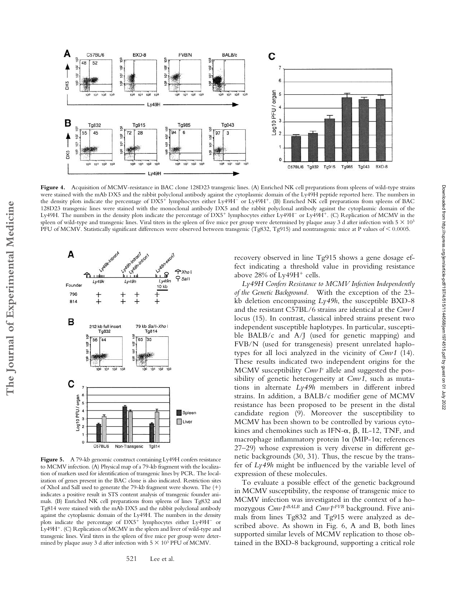

**Figure 4.** Acquisition of MCMV-resistance in BAC clone 128D23 transgenic lines. (A) Enriched NK cell preparations from spleens of wild-type strains were stained with the mAb DX5 and the rabbit polyclonal antibody against the cytoplasmic domain of the Ly49H peptide reported here. The numbers in the density plots indicate the percentage of DX5<sup>+</sup> lymphocytes either Ly49H<sup>-</sup> or Ly49H<sup>+</sup>. (B) Enriched NK cell preparations from spleens of BAC 128D23 transgenic lines were stained with the monoclonal antibody DX5 and the rabbit polyclonal antibody against the cytoplasmic domain of the Ly49H. The numbers in the density plots indicate the percentage of DX5<sup>+</sup> lymphocytes either Ly49H<sup>-</sup> or Ly49H<sup>+</sup>. (C) Replication of MCMV in the spleen of wild-type and transgenic lines. Viral titers in the spleen of five mice per group were determined by plaque assay 3 d after infection with 5  $\times$  10<sup>3</sup> PFU of MCMV. Statistically significant differences were observed between transgenic (Tg832, Tg915) and nontransgenic mice at P values of < 0.0005.



Figure 5. A 79-kb genomic construct containing Ly49H confers resistance to MCMV infection. (A) Physical map of a 79-kb fragment with the localization of markers used for identification of transgenic lines by PCR. The localization of genes present in the BAC clone is also indicated. Restriction sites of XhoI and SalI used to generate the 79-kb fragment were shown. The (+) indicates a positive result in STS content analysis of transgenic founder animals. (B) Enriched NK cell preparations from spleens of lines Tg832 and Tg814 were stained with the mAb DX5 and the rabbit polyclonal antibody against the cytoplasmic domain of the Ly49H. The numbers in the density plots indicate the percentage of  $DX5^+$  lymphocytes either  $Ly49H^-$  or Ly49H<sup>+</sup>. (C) Replication of MCMV in the spleen and liver of wild-type and transgenic lines. Viral titers in the spleen of five mice per group were determined by plaque assay 3 d after infection with  $5 \times 10^3$  PFU of MCMV.

recovery observed in line Tg915 shows a gene dosage effect indicating a threshold value in providing resistance above  $28\%$  of Ly49H<sup>+</sup> cells.

*Ly49H Confers Resistance to MCMV Infection Independently of the Genetic Background.* With the exception of the 23 kb deletion encompassing *Ly49h*, the susceptible BXD-8 and the resistant C57BL/6 strains are identical at the *Cmv1* locus (15). In contrast, classical inbred strains present two independent susceptible haplotypes. In particular, susceptible BALB/c and A/J (used for genetic mapping) and FVB/N (used for transgenesis) present unrelated haplotypes for all loci analyzed in the vicinity of *Cmv1* (14). These results indicated two independent origins for the MCMV susceptibility Cmv1<sup>s</sup> allele and suggested the possibility of genetic heterogeneity at *Cmv1*, such as mutations in alternate *Ly49h* members in different inbred strains. In addition, a BALB/c modifier gene of MCMV resistance has been proposed to be present in the distal candidate region (9). Moreover the susceptibility to MCMV has been shown to be controlled by various cytokines and chemokines such as IFN- $\alpha$ ,  $\beta$ , IL-12, TNF, and macrophage inflammatory protein 1 $\alpha$  (MIP-1 $\alpha$ ; references 27–29) whose expression is very diverse in different genetic backgrounds (30, 31). Thus, the rescue by the transfer of *Ly49h* might be influenced by the variable level of expression of these molecules.

To evaluate a possible effect of the genetic background in MCMV susceptibility, the response of transgenic mice to MCMV infection was investigated in the context of a homozygous *Cmv1sBALB* and *Cmv1sFVB* background. Five animals from lines Tg832 and Tg915 were analyzed as described above. As shown in Fig. 6, A and B, both lines supported similar levels of MCMV replication to those obtained in the BXD-8 background, supporting a critical role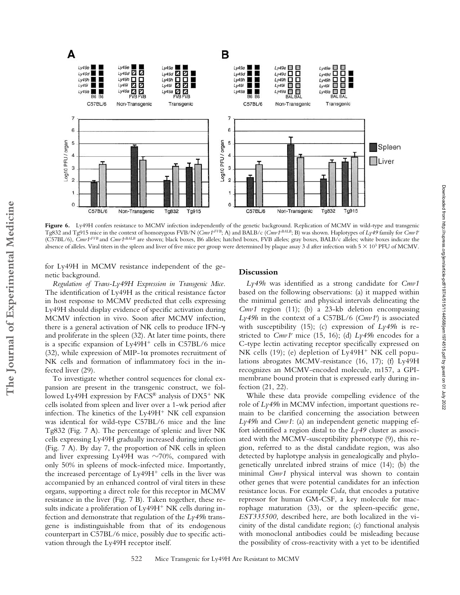

Figure 6. Ly49H confers resistance to MCMV infection independently of the genetic background. Replication of MCMV in wild-type and transgenic Tg832 and Tg915 mice in the context of homozygous FVB/N (*Cmv1sFVB*; A) and BALB/c (*Cmv1sBALB*; B) was shown. Haplotypes of *Ly49* family for *Cmv1r* (C57BL/6),  $\tilde{C}mv1^{sFVB}$  and  $\tilde{C}mv1^{sBALE}$  are shown; black boxes, B6 alleles; hatched boxes, FVB alleles; gray boxes, BALB/c alleles; white boxes indicate the absence of alleles. Viral titers in the spleen and liver of five mice per group were determined by plaque assay 3 d after infection with  $5 \times 10^3$  PFU of MCMV.

for Ly49H in MCMV resistance independent of the genetic background.

**The Journal of Experimental Medicine**

The Journal of Experimental Medicine

*Regulation of Trans-Ly49H Expression in Transgenic Mice.* The identification of Ly49H as the critical resistance factor in host response to MCMV predicted that cells expressing Ly49H should display evidence of specific activation during MCMV infection in vivo. Soon after MCMV infection, there is a general activation of NK cells to produce IFN and proliferate in the spleen (32). At later time points, there is a specific expansion of  $Ly49H<sup>+</sup>$  cells in C57BL/6 mice  $(32)$ , while expression of MIP-1 $\alpha$  promotes recruitment of NK cells and formation of inflammatory foci in the infected liver (29).

To investigate whether control sequences for clonal expansion are present in the transgenic construct, we followed Ly49H expression by  $FACS^{\circledast}$  analysis of  $DX5^+$  NK cells isolated from spleen and liver over a 1-wk period after infection. The kinetics of the  $Ly49H<sup>+</sup> N K$  cell expansion was identical for wild-type C57BL/6 mice and the line Tg832 (Fig. 7 A). The percentage of splenic and liver NK cells expressing Ly49H gradually increased during infection (Fig. 7 A). By day 7, the proportion of NK cells in spleen and liver expressing Ly49H was  $\sim$ 70%, compared with only 50% in spleens of mock-infected mice. Importantly, the increased percentage of  $Ly49H<sup>+</sup>$  cells in the liver was accompanied by an enhanced control of viral titers in these organs, supporting a direct role for this receptor in MCMV resistance in the liver (Fig. 7 B). Taken together, these results indicate a proliferation of Ly49H<sup>+</sup> NK cells during infection and demonstrate that regulation of the *Ly49h* transgene is indistinguishable from that of its endogenous counterpart in C57BL/6 mice, possibly due to specific activation through the Ly49H receptor itself.

## **Discussion**

*Ly49h* was identified as a strong candidate for *Cmv1* based on the following observations: (a) it mapped within the minimal genetic and physical intervals delineating the *Cmv1* region (11); (b) a 23-kb deletion encompassing *Ly49h* in the context of a C57BL/6 (*Cmv1r* ) is associated with susceptibility (15); (c) expression of *Ly49h* is restricted to *Cmv1r* mice (15, 16); (d) *Ly49h* encodes for a C-type lectin activating receptor specifically expressed on NK cells (19); (e) depletion of  $Ly49H<sup>+</sup> N K$  cell populations abrogates MCMV-resistance (16, 17); (f) Ly49H recognizes an MCMV-encoded molecule, m157, a GPImembrane bound protein that is expressed early during infection (21, 22).

While these data provide compelling evidence of the role of *Ly49h* in MCMV infection, important questions remain to be clarified concerning the association between *Ly49h* and *Cmv1*: (a) an independent genetic mapping effort identified a region distal to the *Ly49* cluster as associated with the MCMV-susceptibility phenotype (9), this region, referred to as the distal candidate region, was also detected by haplotype analysis in genealogically and phylogenetically unrelated inbred strains of mice (14); (b) the minimal *Cmv1* physical interval was shown to contain other genes that were potential candidates for an infection resistance locus. For example *Csda*, that encodes a putative repressor for human GM-CSF, a key molecule for macrophage maturation (33), or the spleen-specific gene, *EST335500,* described here, are both localized in the vicinity of the distal candidate region; (c) functional analysis with monoclonal antibodies could be misleading because the possibility of cross-reactivity with a yet to be identified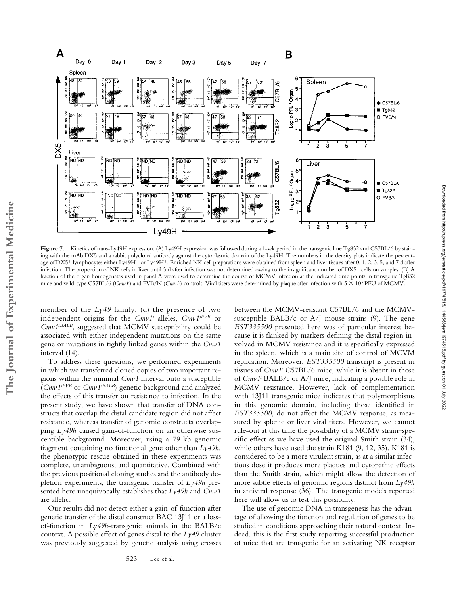

Figure 7. Kinetics of trans-Ly49H expression. (A) Ly49H expression was followed during a 1-wk period in the transgenic line Tg832 and C57BL/6 by staining with the mAb DX5 and a rabbit polyclonal antibody against the cytoplasmic domain of the Ly49H. The numbers in the density plots indicate the percentage of DX5<sup>+</sup> lymphocytes either Ly49H<sup>-</sup> or Ly49H<sup>+</sup>. Enriched NK cell preparations were obtained from spleen and liver tissues after 0, 1, 2, 3, 5, and 7 d after infection. The proportion of NK cells in liver until 3 d after infection was not determined owing to the insignificant number of DX5 cells on samples. (B) A fraction of the organ homogenates used in panel A were used to determine the course of MCMV infection at the indicated time points in transgenic Tg832 mice and wild-type C57BL/6 (Cmv1<sup>+</sup>) and FVB/N (Cmv1<sup>2</sup>) controls. Viral titers were determined by plaque after infection with 5  $\times$  10<sup>3</sup> PFU of MCMV.

member of the *Ly49* family; (d) the presence of two independent origins for the *Cmv1<sup>s</sup>* alleles, *Cmv1<sup>sFVB</sup>* or *Cmv1sBALB*, suggested that MCMV susceptibility could be associated with either independent mutations on the same gene or mutations in tightly linked genes within the *Cmv1* interval (14).

To address these questions, we performed experiments in which we transferred cloned copies of two important regions within the minimal *Cmv1* interval onto a susceptible (*Cmv1sFVB* or *Cmv1sBALB*) genetic background and analyzed the effects of this transfer on resistance to infection. In the present study, we have shown that transfer of DNA constructs that overlap the distal candidate region did not affect resistance, whereas transfer of genomic constructs overlapping *Ly49h* caused gain-of-function on an otherwise susceptible background. Moreover, using a 79-kb genomic fragment containing no functional gene other than *Ly49h*, the phenotypic rescue obtained in these experiments was complete, unambiguous, and quantitative. Combined with the previous positional cloning studies and the antibody depletion experiments, the transgenic transfer of *Ly49h* presented here unequivocally establishes that *Ly49h* and *Cmv1* are allelic.

Our results did not detect either a gain-of-function after genetic transfer of the distal construct BAC 13J11 or a lossof-function in *Ly49h*-transgenic animals in the BALB/c context. A possible effect of genes distal to the *Ly49* cluster was previously suggested by genetic analysis using crosses

between the MCMV-resistant C57BL/6 and the MCMVsusceptible BALB/c or A/J mouse strains (9). The gene *EST335500* presented here was of particular interest because it is flanked by markers defining the distal region involved in MCMV resistance and it is specifically expressed in the spleen, which is a main site of control of MCVM replication. Moreover, *EST335500* transcript is present in tissues of *Cmv1r* C57BL/6 mice, while it is absent in those of *Cmv1s* BALB/c or A/J mice, indicating a possible role in MCMV resistance. However, lack of complementation with 13J11 transgenic mice indicates that polymorphisms in this genomic domain, including those identified in *EST335500*, do not affect the MCMV response, as measured by splenic or liver viral titers. However, we cannot rule-out at this time the possibility of a MCMV strain–specific effect as we have used the original Smith strain (34), while others have used the strain K181 (9, 12, 35). K181 is considered to be a more virulent strain, as at a similar infectious dose it produces more plaques and cytopathic effects than the Smith strain, which might allow the detection of more subtle effects of genomic regions distinct from *Ly49h* in antiviral response (36). The transgenic models reported here will allow us to test this possibility.

The use of genomic DNA in transgenesis has the advantage of allowing the function and regulation of genes to be studied in conditions approaching their natural context. Indeed, this is the first study reporting successful production of mice that are transgenic for an activating NK receptor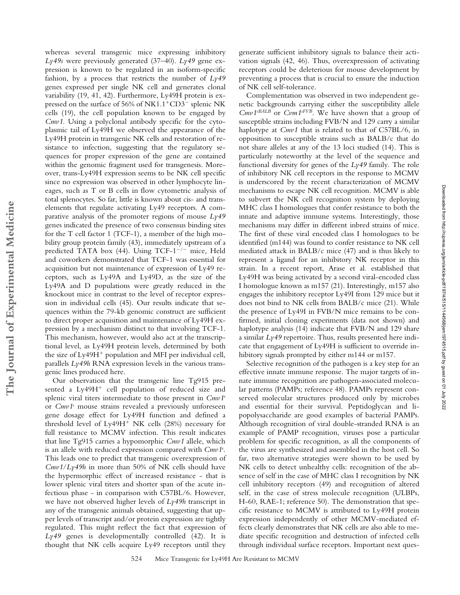whereas several transgenic mice expressing inhibitory *Ly49s* were previously generated (37–40). *Ly49* gene expression is known to be regulated in an isoform-specific fashion, by a process that restricts the number of *Ly49* genes expressed per single NK cell and generates clonal variability (19, 41, 42). Furthermore, Ly49H protein is expressed on the surface of 56% of NK1.1<sup>+</sup>CD3<sup>-</sup> splenic NK cells (19), the cell population known to be engaged by *Cmv1*. Using a polyclonal antibody specific for the cytoplasmic tail of Ly49H we observed the appearance of the Ly49H protein in transgenic NK cells and restoration of resistance to infection, suggesting that the regulatory sequences for proper expression of the gene are contained within the genomic fragment used for transgenesis. Moreover, trans-Ly49H expression seems to be NK cell specific since no expression was observed in other lymphocyte lineages, such as T or B cells in flow cytometric analysis of total splenocytes. So far, little is known about cis- and transelements that regulate activating Ly49 receptors. A comparative analysis of the promoter regions of mouse *Ly49* genes indicated the presence of two consensus binding sites for the T cell factor 1 (TCF-1), a member of the high mobility group protein family (43), immediately upstream of a predicted TATA box (44). Using TCF- $1^{-/-}$  mice, Held and coworkers demonstrated that TCF-1 was essential for acquisition but not maintenance of expression of Ly49 receptors, such as Ly49A and Ly49D, as the size of the Ly49A and D populations were greatly reduced in the knockout mice in contrast to the level of receptor expression in individual cells (45). Our results indicate that sequences within the 79-kb genomic construct are sufficient to direct proper acquisition and maintenance of Ly49H expression by a mechanism distinct to that involving TCF-1. This mechanism, however, would also act at the transcriptional level, as Ly49H protein levels, determined by both the size of  $Ly49H<sup>+</sup>$  population and MFI per individual cell, parallels *Ly49h* RNA expression levels in the various transgenic lines produced here.

Our observation that the transgenic line Tg915 presented a Ly49H<sup>+</sup> cell population of reduced size and splenic viral titers intermediate to those present in *Cmv1r* or *Cmv1s* mouse strains revealed a previously unforeseen gene dosage effect for Ly49H function and defined a threshold level of  $Ly49H<sup>+</sup> N K$  cells (28%) necessary for full resistance to MCMV infection. This result indicates that line Tg915 carries a hypomorphic *Cmv1* allele, which is an allele with reduced expression compared with *Cmv1r* . This leads one to predict that transgenic overexpression of *Cmv1*/*Ly49h* in more than 50% of NK cells should have the hypermorphic effect of increased resistance - that is lower splenic viral titers and shorter span of the acute infectious phase - in comparison with C57BL/6. However, we have not observed higher levels of *Ly49h* transcript in any of the transgenic animals obtained, suggesting that upper levels of transcript and/or protein expression are tightly regulated. This might reflect the fact that expression of *Ly49* genes is developmentally controlled (42). It is thought that NK cells acquire Ly49 receptors until they

generate sufficient inhibitory signals to balance their activation signals (42, 46). Thus, overexpression of activating receptors could be deleterious for mouse development by preventing a process that is crucial to ensure the induction of NK cell self-tolerance.

Complementation was observed in two independent genetic backgrounds carrying either the susceptibility allele *Cmv1sBALB* or *Cvm1sFVB*. We have shown that a group of susceptible strains including FVB/N and 129 carry a similar haplotype at *Cmv1* that is related to that of C57BL/6, in opposition to susceptible strains such as BALB/c that do not share alleles at any of the 13 loci studied (14). This is particularly noteworthy at the level of the sequence and functional diversity for genes of the *Ly49* family. The role of inhibitory NK cell receptors in the response to MCMV is underscored by the recent characterization of MCMV mechanisms to escape NK cell recognition. MCMV is able to subvert the NK cell recognition system by deploying MHC class I homologues that confer resistance to both the innate and adaptive immune systems. Interestingly, those mechanisms may differ in different inbred strains of mice. The first of these viral encoded class I homologues to be identified (m144) was found to confer resistance to NK cell mediated attack in BALB/c mice (47) and is thus likely to represent a ligand for an inhibitory NK receptor in this strain. In a recent report, Arase et al. established that Ly49H was being activated by a second viral-encoded class I homologue known as m157 (21). Interestingly, m157 also engages the inhibitory receptor Ly49I from 129 mice but it does not bind to NK cells from BALB/c mice (21). While the presence of Ly49I in FVB/N mice remains to be confirmed, initial cloning experiments (data not shown) and haplotype analysis (14) indicate that FVB/N and 129 share a similar  $Ly$ 49 repertoire. Thus, results presented here indicate that engagement of Ly49H is sufficient to override inhibitory signals prompted by either m144 or m157.

Selective recognition of the pathogen is a key step for an effective innate immune response. The major targets of innate immune recognition are pathogen-associated molecular patterns (PAMPs; reference 48). PAMPs represent conserved molecular structures produced only by microbes and essential for their survival. Peptidoglycan and lipopolysaccharide are good examples of bacterial PAMPs. Although recognition of viral double-stranded RNA is an example of PAMP recognition, viruses pose a particular problem for specific recognition, as all the components of the virus are synthesized and assembled in the host cell. So far, two alternative strategies were shown to be used by NK cells to detect unhealthy cells: recognition of the absence of self in the case of MHC class I recognition by NK cell inhibitory receptors (49) and recognition of altered self, in the case of stress molecule recognition (ULBPs, H-60, RAE-1; reference 50). The demonstration that specific resistance to MCMV is attributed to Ly49H protein expression independently of other MCMV-mediated effects clearly demonstrates that NK cells are also able to mediate specific recognition and destruction of infected cells through individual surface receptors. Important next ques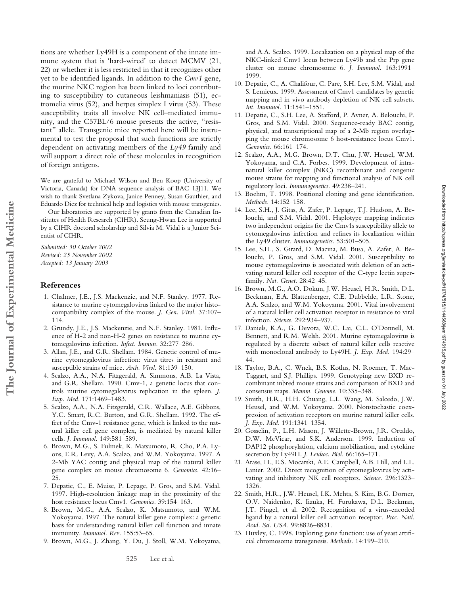tions are whether Ly49H is a component of the innate immune system that is 'hard-wired' to detect MCMV (21, 22) or whether it is less restricted in that it recognizes other yet to be identified ligands. In addition to the *Cmv1* gene, the murine NKC region has been linked to loci contributing to susceptibility to cutaneous leishmaniasis (51), ectromelia virus (52), and herpes simplex I virus (53). These susceptibility traits all involve NK cell–mediated immunity, and the C57BL/6 mouse presents the active, "resistant" allele. Transgenic mice reported here will be instrumental to test the proposal that such functions are strictly dependent on activating members of the *Ly49* family and will support a direct role of these molecules in recognition of foreign antigens.

We are grateful to Michael Wilson and Ben Koop (University of Victoria, Canada) for DNA sequence analysis of BAC 13J11. We wish to thank Svetlana Zykova, Janice Penney, Susan Gauthier, and Eduardo Diez for technical help and logistics with mouse transgenics.

Our laboratories are supported by grants from the Canadian Institutes of Health Research (CIHR). Seung-Hwan Lee is supported by a CIHR doctoral scholarship and Silvia M. Vidal is a Junior Scientist of CIHR.

*Submitted: 30 October 2002 Revised: 25 November 2002 Accepted: 13 January 2003*

#### **References**

- 1. Chalmer, J.E., J.S. Mackenzie, and N.F. Stanley. 1977. Resistance to murine cytomegalovirus linked to the major histocompatibility complex of the mouse. *J. Gen. Virol.* 37:107– 114.
- 2. Grundy, J.E., J.S. Mackenzie, and N.F. Stanley. 1981. Influence of H-2 and non-H-2 genes on resistance to murine cytomegalovirus infection. *Infect. Immun.* 32:277–286.
- 3. Allan, J.E., and G.R. Shellam. 1984. Genetic control of murine cytomegalovirus infection: virus titres in resistant and susceptible strains of mice. *Arch. Virol.* 81:139–150.
- 4. Scalzo, A.A., N.A. Fitzgerald, A. Simmons, A.B. La Vista, and G.R. Shellam. 1990. Cmv-1, a genetic locus that controls murine cytomegalovirus replication in the spleen. *J. Exp. Med.* 171:1469–1483.
- 5. Scalzo, A.A., N.A. Fitzgerald, C.R. Wallace, A.E. Gibbons, Y.C. Smart, R.C. Burton, and G.R. Shellam. 1992. The effect of the Cmv-1 resistance gene, which is linked to the natural killer cell gene complex, is mediated by natural killer cells. *J. Immunol.* 149:581–589.
- 6. Brown, M.G., S. Fulmek, K. Matsumoto, R. Cho, P.A. Lyons, E.R. Levy, A.A. Scalzo, and W.M. Yokoyama. 1997. A 2-Mb YAC contig and physical map of the natural killer gene complex on mouse chromosome 6. *Genomics.* 42:16– 25.
- 7. Depatie, C., E. Muise, P. Lepage, P. Gros, and S.M. Vidal. 1997. High-resolution linkage map in the proximity of the host resistance locus Cmv1. *Genomics.* 39:154–163.
- 8. Brown, M.G., A.A. Scalzo, K. Matsumoto, and W.M. Yokoyama. 1997. The natural killer gene complex: a genetic basis for understanding natural killer cell function and innate immunity. *Immunol. Rev.* 155:53–65.
- 9. Brown, M.G., J. Zhang, Y. Du, J. Stoll, W.M. Yokoyama,

and A.A. Scalzo. 1999. Localization on a physical map of the NKC-linked Cmv1 locus between Ly49b and the Prp gene cluster on mouse chromosome 6. *J. Immunol.* 163:1991– 1999.

- 10. Depatie, C., A. Chalifour, C. Pare, S.H. Lee, S.M. Vidal, and S. Lemieux. 1999. Assessment of Cmv1 candidates by genetic mapping and in vivo antibody depletion of NK cell subsets. *Int. Immunol.* 11:1541–1551.
- 11. Depatie, C., S.H. Lee, A. Stafford, P. Avner, A. Belouchi, P. Gros, and S.M. Vidal. 2000. Sequence-ready BAC contig, physical, and transcriptional map of a 2-Mb region overlapping the mouse chromosome 6 host-resistance locus Cmv1. *Genomics.* 66:161–174.
- 12. Scalzo, A.A., M.G. Brown, D.T. Chu, J.W. Heusel, W.M. Yokoyama, and C.A. Forbes. 1999. Development of intranatural killer complex (NKC) recombinant and congenic mouse strains for mapping and functional analysis of NK cell regulatory loci. *Immunogenetics.* 49:238–241.
- 13. Boehm, T. 1998. Positional cloning and gene identification. *Methods.* 14:152–158.
- 14. Lee, S.H., J. Gitas, A. Zafer, P. Lepage, T.J. Hudson, A. Belouchi, and S.M. Vidal. 2001. Haplotype mapping indicates two independent origins for the Cmv1s susceptibility allele to cytomegalovirus infection and refines its localization within the Ly49 cluster. *Immunogenetics.* 53:501–505.
- 15. Lee, S.H., S. Girard, D. Macina, M. Busa, A. Zafer, A. Belouchi, P. Gros, and S.M. Vidal. 2001. Susceptibility to mouse cytomegalovirus is associated with deletion of an activating natural killer cell receptor of the C-type lectin superfamily. *Nat. Genet.* 28:42–45.
- 16. Brown, M.G., A.O. Dokun, J.W. Heusel, H.R. Smith, D.L. Beckman, E.A. Blattenberger, C.E. Dubbelde, L.R. Stone, A.A. Scalzo, and W.M. Yokoyama. 2001. Vital involvement of a natural killer cell activation receptor in resistance to viral infection. *Science.* 292:934–937.

Downloaded from http://rupress.org/jem/article-pdf/19714/1915/1144568/jem1974515.pdf by guest on 01 July 2022 Downloaded from http://rupress.org/jem/article-pdf/197/4/515/1144568/jem1974515.pdf by guest on 01 July 2022

- 17. Daniels, K.A., G. Devora, W.C. Lai, C.L. O'Donnell, M. Bennett, and R.M. Welsh. 2001. Murine cytomegalovirus is regulated by a discrete subset of natural killer cells reactive with monoclonal antibody to Ly49H. *J. Exp. Med.* 194:29– 44.
- 18. Taylor, B.A., C. Wnek, B.S. Kotlus, N. Roemer, T. Mac-Taggart, and S.J. Phillips. 1999. Genotyping new BXD recombinant inbred mouse strains and comparison of BXD and consensus maps. *Mamm. Genome.* 10:335–348.
- 19. Smith, H.R., H.H. Chuang, L.L. Wang, M. Salcedo, J.W. Heusel, and W.M. Yokoyama. 2000. Nonstochastic coexpression of activation receptors on murine natural killer cells. *J. Exp. Med.* 191:1341–1354.
- 20. Gosselin, P., L.H. Mason, J. Willette-Brown, J.R. Ortaldo, D.W. McVicar, and S.K. Anderson. 1999. Induction of DAP12 phosphorylation, calcium mobilization, and cytokine secretion by Ly49H. *J. Leukoc. Biol.* 66:165–171.
- 21. Arase, H., E.S. Mocarski, A.E. Campbell, A.B. Hill, and L.L. Lanier. 2002. Direct recognition of cytomegalovirus by activating and inhibitory NK cell receptors. *Science.* 296:1323– 1326.
- 22. Smith, H.R., J.W. Heusel, I.K. Mehta, S. Kim, B.G. Dorner, O.V. Naidenko, K. Iizuka, H. Furukawa, D.L. Beckman, J.T. Pingel, et al. 2002. Recognition of a virus-encoded ligand by a natural killer cell activation receptor. *Proc. Natl. Acad. Sci. USA.* 99:8826–8831.
- 23. Huxley, C. 1998. Exploring gene function: use of yeast artificial chromosome transgenesis. *Methods.* 14:199–210.